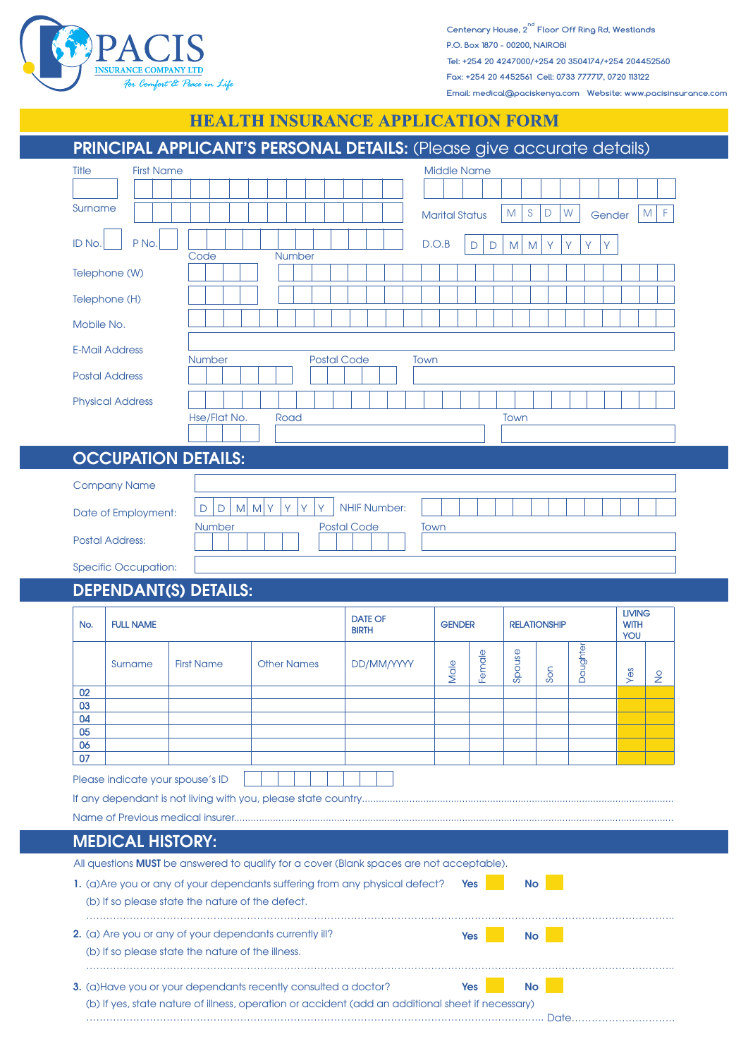

**nd Centenary House, 2 Floor Off Ring Rd, Westlands P.O. Box 1870 - 00200, NAIROBI Tel: +254 20 4247000/+254 20 3504174/+254 204452560 Fax: +254 20 4452561 Cell: 0733 777717, 0720 113122 Email: medical@paciskenya.com Website: www.pacisinsurance.com**

## **HEALTH INSURANCE APPLICATION FORM**

|                                                                      |                                  | PRINCIPAL APPLICANT'S PERSONAL DETAILS: (Please give accurate details)                   |                                |                       |        |                     |        |          |                                     |                 |
|----------------------------------------------------------------------|----------------------------------|------------------------------------------------------------------------------------------|--------------------------------|-----------------------|--------|---------------------|--------|----------|-------------------------------------|-----------------|
| <b>First Name</b><br>Title<br><b>Middle Name</b>                     |                                  |                                                                                          |                                |                       |        |                     |        |          |                                     |                 |
|                                                                      |                                  |                                                                                          |                                |                       |        |                     |        |          |                                     |                 |
| Surname                                                              |                                  |                                                                                          |                                | <b>Marital Status</b> |        | S<br>M              | W<br>D |          | Gender                              | ${\sf M}$<br>F. |
| P No.<br><b>ID No</b>                                                |                                  |                                                                                          |                                | D.O.B                 | D<br>D | M<br>M              | Y<br>Υ | Υ        | Y                                   |                 |
| Telephone (W)                                                        | Code                             | <b>Number</b>                                                                            |                                |                       |        |                     |        |          |                                     |                 |
| Telephone (H)                                                        |                                  |                                                                                          |                                |                       |        |                     |        |          |                                     |                 |
| Mobile No.                                                           |                                  |                                                                                          |                                |                       |        |                     |        |          |                                     |                 |
|                                                                      |                                  |                                                                                          |                                |                       |        |                     |        |          |                                     |                 |
| <b>E-Mail Address</b><br><b>Number</b><br><b>Postal Code</b><br>Town |                                  |                                                                                          |                                |                       |        |                     |        |          |                                     |                 |
| <b>Postal Address</b>                                                |                                  |                                                                                          |                                |                       |        |                     |        |          |                                     |                 |
| <b>Physical Address</b>                                              | Hse/Flat No.                     | Road                                                                                     |                                |                       |        |                     |        |          |                                     |                 |
| Town                                                                 |                                  |                                                                                          |                                |                       |        |                     |        |          |                                     |                 |
| <b>OCCUPATION DETAILS:</b>                                           |                                  |                                                                                          |                                |                       |        |                     |        |          |                                     |                 |
| <b>Company Name</b>                                                  |                                  |                                                                                          |                                |                       |        |                     |        |          |                                     |                 |
| Date of Employment:                                                  | $\mathsf D$<br>M<br>$\mathsf{D}$ | Ÿ<br>M<br>Y<br>Υ<br>γ                                                                    | <b>NHIF Number:</b>            |                       |        |                     |        |          |                                     |                 |
|                                                                      | <b>Number</b>                    |                                                                                          | <b>Postal Code</b>             | Town                  |        |                     |        |          |                                     |                 |
|                                                                      |                                  |                                                                                          |                                |                       |        |                     |        |          |                                     |                 |
| <b>Postal Address:</b>                                               |                                  |                                                                                          |                                |                       |        |                     |        |          |                                     |                 |
| <b>Specific Occupation:</b>                                          |                                  |                                                                                          |                                |                       |        |                     |        |          |                                     |                 |
| <b>DEPENDANT(S) DETAILS:</b>                                         |                                  |                                                                                          |                                |                       |        |                     |        |          |                                     |                 |
| <b>FULL NAME</b><br>No.                                              |                                  |                                                                                          | <b>DATE OF</b><br><b>BIRTH</b> | <b>GENDER</b>         |        | <b>RELATIONSHIP</b> |        |          | <b>LIVING</b><br><b>WITH</b><br>YOU |                 |
|                                                                      |                                  |                                                                                          |                                |                       |        |                     |        |          |                                     |                 |
| Surname                                                              | <b>First Name</b>                | <b>Other Names</b>                                                                       | DD/MM/YYYY                     | Male                  | Female | Spouse              | Son    | Daughter | Yes                                 | $\frac{1}{2}$   |
| 02<br>03                                                             |                                  |                                                                                          |                                |                       |        |                     |        |          |                                     |                 |
| 04<br>05                                                             |                                  |                                                                                          |                                |                       |        |                     |        |          |                                     |                 |
| 06                                                                   |                                  |                                                                                          |                                |                       |        |                     |        |          |                                     |                 |
| 07                                                                   |                                  |                                                                                          |                                |                       |        |                     |        |          |                                     |                 |
| Please indicate your spouse's ID                                     |                                  |                                                                                          |                                |                       |        |                     |        |          |                                     |                 |
|                                                                      |                                  |                                                                                          |                                |                       |        |                     |        |          |                                     |                 |
| <b>MEDICAL HISTORY:</b>                                              |                                  |                                                                                          |                                |                       |        |                     |        |          |                                     |                 |
|                                                                      |                                  | All questions MUST be answered to qualify for a cover (Blank spaces are not acceptable). |                                |                       |        |                     |        |          |                                     |                 |
|                                                                      |                                  | 1. (a) Are you or any of your dependants suffering from any physical defect?             |                                | Yes                   |        | <b>No</b>           |        |          |                                     |                 |
| (b) If so please state the nature of the defect.                     |                                  |                                                                                          |                                |                       |        |                     |        |          |                                     |                 |
| 2. (a) Are you or any of your dependants currently ill?              |                                  |                                                                                          |                                | <b>Yes</b>            |        | <b>No</b>           |        |          |                                     |                 |
| (b) If so please state the nature of the illness.                    |                                  |                                                                                          |                                |                       |        |                     |        |          |                                     |                 |
|                                                                      |                                  | 3. (a) Have you or your dependants recently consulted a doctor?                          |                                | <b>Yes</b>            |        | <b>No</b>           |        |          |                                     |                 |